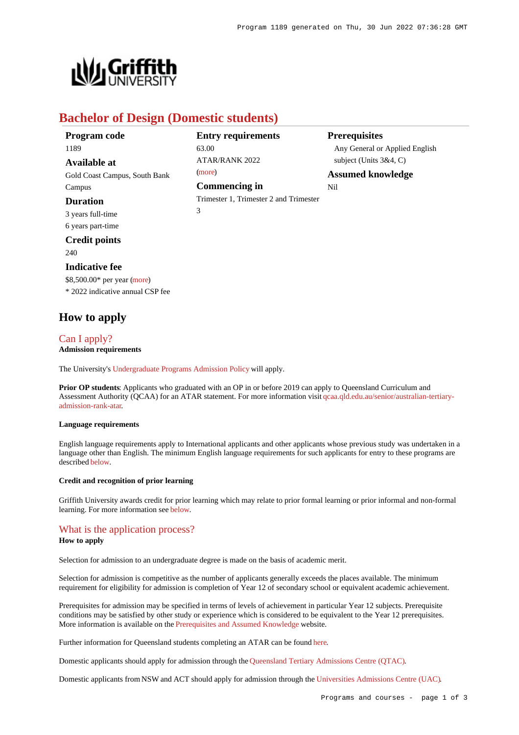

## **Bachelor of Design (Domestic students)**

| Program code                  | <b>Entry requirements</b>              | <b>Prerequisites</b>           |
|-------------------------------|----------------------------------------|--------------------------------|
| 1189                          | 63.00                                  | Any General or Applied English |
| <b>Available at</b>           | ATAR/RANK 2022                         | subject (Units $3&4, C$ )      |
| Gold Coast Campus, South Bank | (more)                                 | <b>Assumed knowledge</b>       |
| Campus                        | Commencing in                          | Nil                            |
| <b>Duration</b>               | Trimester 1, Trimester 2 and Trimester |                                |
| 3 years full-time             | 3                                      |                                |
| 6 years part-time             |                                        |                                |

### **Credit points**

240

#### **Indicative fee**

\$8,500.00\* per year [\(more](https://www148.griffith.edu.au/programs-courses/Program/1189/Overview/Domestic#fees)) \* 2022 indicative annual CSP fee

## **How to apply**

# [Can I apply?](https://www148.griffith.edu.au/programs-courses/Program/1189/HowToApply/Domestic#can-i-apply)

**Admission requirements**

The University's [Undergraduate Programs Admission Policy](https://sharepointpubstor.blob.core.windows.net/policylibrary-prod/Undergraduate Programs Admission Policy.pdf) will apply.

**Prior OP students**: Applicants who graduated with an OP in or before 2019 can apply to Queensland Curriculum and Assessment Authority (QCAA) for an ATAR statement. For more information visit [qcaa.qld.edu.au/senior/australian-tertiary](http://qcaa.qld.edu.au/senior/australian-tertiary-admission-rank-atar)[admission-rank-atar](http://qcaa.qld.edu.au/senior/australian-tertiary-admission-rank-atar).

#### **Language requirements**

English language requirements apply to International applicants and other applicants whose previous study was undertaken in a language other than English. The minimum English language requirements for such applicants for entry to these programs are described [below](https://www148.griffith.edu.au/programs-courses/Program/1189/HowToApply/Domestic#language).

#### **Credit and recognition of prior learning**

Griffith University awards credit for prior learning which may relate to prior formal learning or prior informal and non-formal learning. For more information see [below](https://www148.griffith.edu.au/programs-courses/Program/1189/HowToApply/Domestic#credit).

### [What is the application process?](https://www148.griffith.edu.au/programs-courses/Program/1189/HowToApply/Domestic#process)

#### **How to apply**

Selection for admission to an undergraduate degree is made on the basis of academic merit.

Selection for admission is competitive as the number of applicants generally exceeds the places available. The minimum requirement for eligibility for admission is completion of Year 12 of secondary school or equivalent academic achievement.

Prerequisites for admission may be specified in terms of levels of achievement in particular Year 12 subjects. Prerequisite conditions may be satisfied by other study or experience which is considered to be equivalent to the Year 12 prerequisites. More information is available on the [Prerequisites and Assumed Knowledge](https://www.griffith.edu.au/apply/prerequisites-assumed-knowledge) website.

Further information for Queensland students completing an ATAR can be found [here](https://www.griffith.edu.au/apply/undergraduate-study/high-school-students/admission-in-2021).

Domestic applicants should apply for admission through the [Queensland Tertiary Admissions Centre \(QTAC\)](http://www.qtac.edu.au/).

Domestic applicants from NSW and ACT should apply for admission through the [Universities Admissions Centre \(UAC\)](http://www.uac.edu.au/).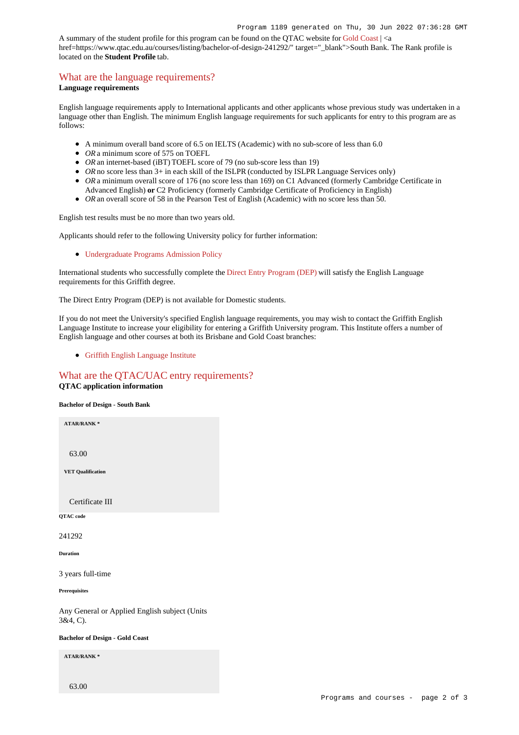A summary of the student profile for this program can be found on the QTAC website for [Gold Coast](https://www.qtac.edu.au/courses/listing/bachelor-of-design-236142/) | <a href=https://www.qtac.edu.au/courses/listing/bachelor-of-design-241292/" target="\_blank">South Bank. The Rank profile is located on the **Student Profile** tab.

## [What are the language requirements?](https://www148.griffith.edu.au/programs-courses/Program/1189/HowToApply/Domestic#language)

#### **Language requirements**

English language requirements apply to International applicants and other applicants whose previous study was undertaken in a language other than English. The minimum English language requirements for such applicants for entry to this program are as follows:

- A minimum overall band score of 6.5 on IELTS (Academic) with no sub-score of less than 6.0
- OR a minimum score of 575 on TOEFL
- *OR* an internet-based (iBT) TOEFL score of 79 (no sub-score less than 19)
- OR no score less than 3+ in each skill of the ISLPR (conducted by ISLPR Language Services only)
- OR a minimum overall score of 176 (no score less than 169) on C1 Advanced (formerly Cambridge Certificate in Advanced English) **or** C2 Proficiency (formerly Cambridge Certificate of Proficiency in English)
- OR an overall score of 58 in the Pearson Test of English (Academic) with no score less than 50.

English test results must be no more than two years old.

Applicants should refer to the following University policy for further information:

[Undergraduate Programs Admission Policy](http://policies.griffith.edu.au/pdf/Undergraduate Programs Admission Policy.pdf)

International students who successfully complete the [Direct Entry Program \(DEP\)](https://www.griffith.edu.au/international/griffith-english-language-institute/courses/direct-entry-program) will satisfy the English Language requirements for this Griffith degree.

The Direct Entry Program (DEP) is not available for Domestic students.

If you do not meet the University's specified English language requirements, you may wish to contact the Griffith English Language Institute to increase your eligibility for entering a Griffith University program. This Institute offers a number of English language and other courses at both its Brisbane and Gold Coast branches:

[Griffith English Language Institute](https://www.griffith.edu.au/international/griffith-english-language-institute)

#### [What are the QTAC/UAC entry requirements?](https://www148.griffith.edu.au/programs-courses/Program/1189/HowToApply/Domestic#tac-entry-requirements) **QTAC application information**

**Bachelor of Design - South Bank**

**ATAR/RANK \***

63.00

**VET Qualification**

Certificate III

**QTAC code**

241292

**Duration**

3 years full-time

**Prerequisites**

Any General or Applied English subject (Units 3&4, C).

**Bachelor of Design - Gold Coast**

**ATAR/RANK \***

63.00